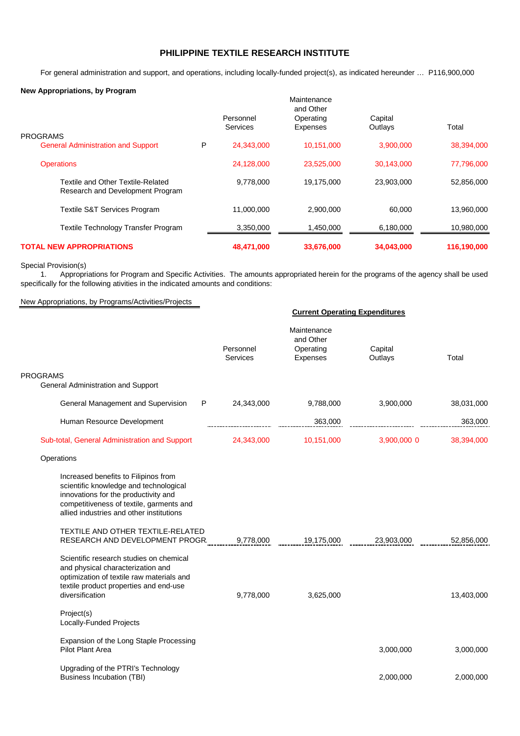## **PHILIPPINE TEXTILE RESEARCH INSTITUTE**

For general administration and support, and operations, including locally-funded project(s), as indicated hereunder … P116,900,000

## **New Appropriations, by Program**

| New Appropriations, by Frogram                                        |                          |                              |                              |                    |             |
|-----------------------------------------------------------------------|--------------------------|------------------------------|------------------------------|--------------------|-------------|
|                                                                       | Maintenance<br>and Other |                              |                              |                    |             |
|                                                                       |                          | Personnel<br><b>Services</b> | Operating<br><b>Expenses</b> | Capital<br>Outlays | Total       |
| <b>PROGRAMS</b>                                                       |                          |                              |                              |                    |             |
| <b>General Administration and Support</b>                             | P                        | 24,343,000                   | 10,151,000                   | 3,900,000          | 38,394,000  |
| <b>Operations</b>                                                     |                          | 24,128,000                   | 23,525,000                   | 30,143,000         | 77,796,000  |
| Textile and Other Textile-Related<br>Research and Development Program |                          | 9,778,000                    | 19,175,000                   | 23,903,000         | 52,856,000  |
| <b>Textile S&amp;T Services Program</b>                               |                          | 11.000.000                   | 2,900,000                    | 60.000             | 13,960,000  |
| Textile Technology Transfer Program                                   |                          | 3,350,000                    | 1,450,000                    | 6,180,000          | 10,980,000  |
| <b>TOTAL NEW APPROPRIATIONS</b>                                       |                          | 48,471,000                   | 33,676,000                   | 34,043,000         | 116,190,000 |

## Special Provision(s)

1. Appropriations for Program and Specific Activities. The amounts appropriated herein for the programs of the agency shall be used specifically for the following ativities in the indicated amounts and conditions:

## New Appropriations, by Programs/Activities/Projects

|                                                                                                                                                                                                                | <b>Current Operating Expenditures</b> |                                                   |                    |            |
|----------------------------------------------------------------------------------------------------------------------------------------------------------------------------------------------------------------|---------------------------------------|---------------------------------------------------|--------------------|------------|
|                                                                                                                                                                                                                | Personnel<br>Services                 | Maintenance<br>and Other<br>Operating<br>Expenses | Capital<br>Outlays | Total      |
| <b>PROGRAMS</b><br>General Administration and Support                                                                                                                                                          |                                       |                                                   |                    |            |
| General Management and Supervision<br>P                                                                                                                                                                        | 24,343,000                            | 9,788,000                                         | 3,900,000          | 38,031,000 |
| Human Resource Development                                                                                                                                                                                     |                                       | 363,000                                           |                    | 363,000    |
| Sub-total, General Administration and Support                                                                                                                                                                  | 24,343,000                            | 10,151,000                                        | 3,900,000 0        | 38,394,000 |
| Operations                                                                                                                                                                                                     |                                       |                                                   |                    |            |
| Increased benefits to Filipinos from<br>scientific knowledge and technological<br>innovations for the productivity and<br>competitiveness of textile, garments and<br>allied industries and other institutions |                                       |                                                   |                    |            |
| <b>TEXTILE AND OTHER TEXTILE-RELATED</b><br>RESEARCH AND DEVELOPMENT PROGR.                                                                                                                                    | 9,778,000                             | 19,175,000                                        | 23,903,000         | 52,856,000 |
| Scientific research studies on chemical<br>and physical characterization and<br>optimization of textile raw materials and<br>textile product properties and end-use<br>diversification                         | 9,778,000                             | 3,625,000                                         |                    | 13,403,000 |
| Project(s)<br>Locally-Funded Projects                                                                                                                                                                          |                                       |                                                   |                    |            |
| Expansion of the Long Staple Processing<br>Pilot Plant Area                                                                                                                                                    |                                       |                                                   | 3,000,000          | 3,000,000  |
| Upgrading of the PTRI's Technology<br>Business Incubation (TBI)                                                                                                                                                |                                       |                                                   | 2,000,000          | 2,000,000  |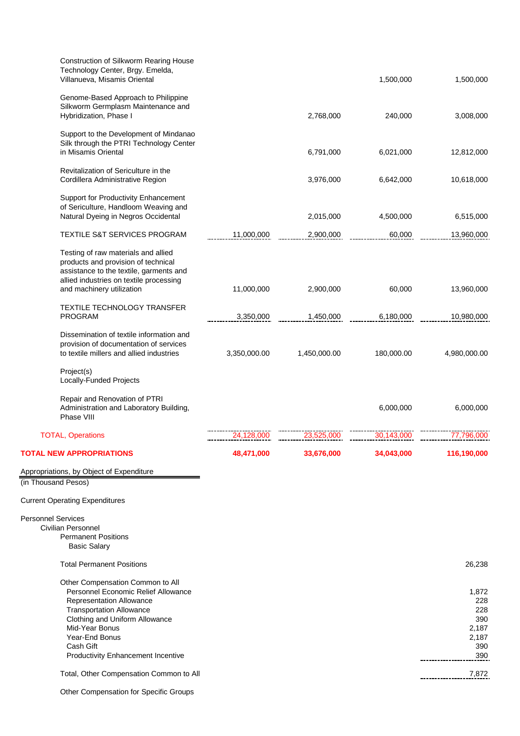| Construction of Silkworm Rearing House<br>Technology Center, Brgy. Emelda,<br>Villanueva, Misamis Oriental                                                                                                                |              |              | 1,500,000  | 1,500,000                                           |
|---------------------------------------------------------------------------------------------------------------------------------------------------------------------------------------------------------------------------|--------------|--------------|------------|-----------------------------------------------------|
| Genome-Based Approach to Philippine<br>Silkworm Germplasm Maintenance and<br>Hybridization, Phase I                                                                                                                       |              | 2,768,000    | 240,000    | 3,008,000                                           |
| Support to the Development of Mindanao<br>Silk through the PTRI Technology Center<br>in Misamis Oriental                                                                                                                  |              | 6,791,000    | 6,021,000  | 12,812,000                                          |
| Revitalization of Sericulture in the<br>Cordillera Administrative Region                                                                                                                                                  |              | 3,976,000    | 6,642,000  | 10,618,000                                          |
| Support for Productivity Enhancement<br>of Sericulture, Handloom Weaving and<br>Natural Dyeing in Negros Occidental                                                                                                       |              | 2,015,000    | 4,500,000  | 6,515,000                                           |
| <b>TEXTILE S&amp;T SERVICES PROGRAM</b>                                                                                                                                                                                   | 11,000,000   | 2,900,000    | 60,000     | 13,960,000                                          |
| Testing of raw materials and allied<br>products and provision of technical<br>assistance to the textile, garments and<br>allied industries on textile processing<br>and machinery utilization                             | 11,000,000   | 2,900,000    | 60,000     | 13,960,000                                          |
| <b>TEXTILE TECHNOLOGY TRANSFER</b><br><b>PROGRAM</b>                                                                                                                                                                      | 3,350,000    | 1,450,000    | 6,180,000  | 10,980,000                                          |
| Dissemination of textile information and<br>provision of documentation of services<br>to textile millers and allied industries                                                                                            | 3,350,000.00 | 1,450,000.00 | 180,000.00 | 4,980,000.00                                        |
| Project(s)<br>Locally-Funded Projects                                                                                                                                                                                     |              |              |            |                                                     |
| Repair and Renovation of PTRI<br>Administration and Laboratory Building,<br>Phase VIII                                                                                                                                    |              |              | 6,000,000  | 6,000,000                                           |
| <b>TOTAL, Operations</b>                                                                                                                                                                                                  | 24,128,000   | 23,525,000   | 30,143,000 | 77,796,000                                          |
| <b>TOTAL NEW APPROPRIATIONS</b>                                                                                                                                                                                           | 48,471,000   | 33,676,000   | 34,043,000 | 116,190,000                                         |
| Appropriations, by Object of Expenditure                                                                                                                                                                                  |              |              |            |                                                     |
| (in Thousand Pesos)                                                                                                                                                                                                       |              |              |            |                                                     |
| <b>Current Operating Expenditures</b>                                                                                                                                                                                     |              |              |            |                                                     |
| <b>Personnel Services</b><br>Civilian Personnel<br><b>Permanent Positions</b><br><b>Basic Salary</b>                                                                                                                      |              |              |            |                                                     |
| <b>Total Permanent Positions</b>                                                                                                                                                                                          |              |              |            | 26,238                                              |
| Other Compensation Common to All<br>Personnel Economic Relief Allowance<br>Representation Allowance<br><b>Transportation Allowance</b><br>Clothing and Uniform Allowance<br>Mid-Year Bonus<br>Year-End Bonus<br>Cash Gift |              |              |            | 1,872<br>228<br>228<br>390<br>2,187<br>2,187<br>390 |
| <b>Productivity Enhancement Incentive</b>                                                                                                                                                                                 |              |              |            | 390                                                 |
| Total, Other Compensation Common to All                                                                                                                                                                                   |              |              |            | 7,872                                               |

Other Compensation for Specific Groups